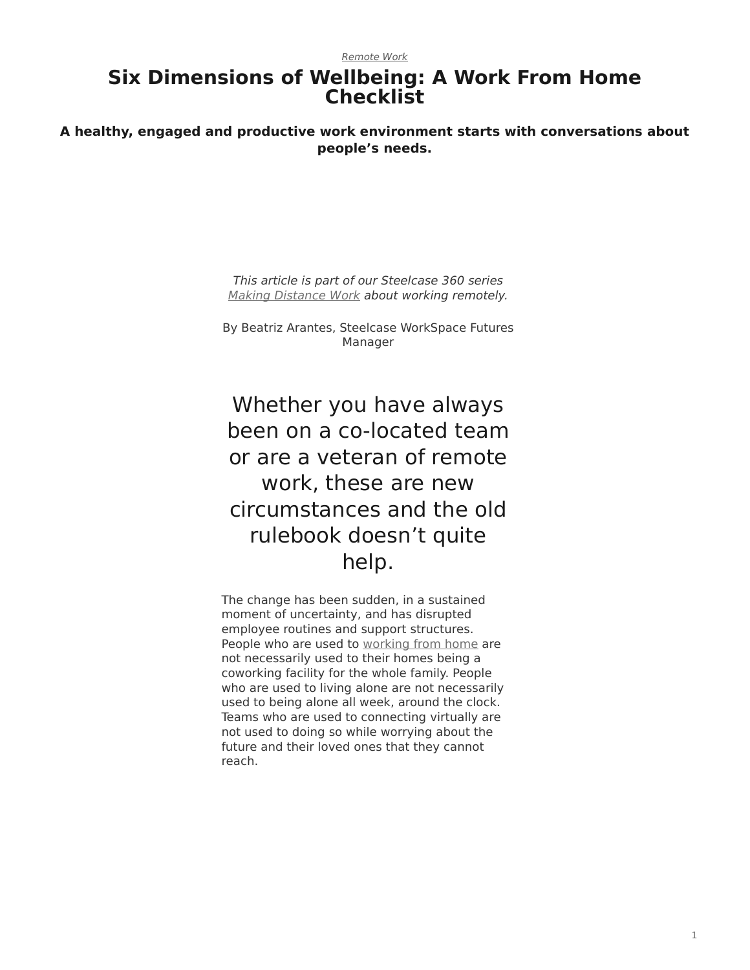# **Six Dimensions of Wellbeing: A Work From Home Checklist**

**A healthy, engaged and productive work environment starts with conversations about people's needs.**

> *This article is part of our Steelcase 360 series [Making Distance Work](https://www.steelcase.com/asia-en/research/remote-work-making-distance-work/) about working remotely.*

By Beatriz Arantes, Steelcase WorkSpace Futures Manager

Whether you have always been on a co-located team or are a veteran of remote work, these are new circumstances and the old rulebook doesn't quite help.

The change has been sudden, in a sustained moment of uncertainty, and has disrupted employee routines and support structures. People who are used to [working from home](https://www.steelcase.com/asia-en/research/remote-work-making-distance-work/) are not necessarily used to their homes being a coworking facility for the whole family. People who are used to living alone are not necessarily used to being alone all week, around the clock. Teams who are used to connecting virtually are not used to doing so while worrying about the future and their loved ones that they cannot reach.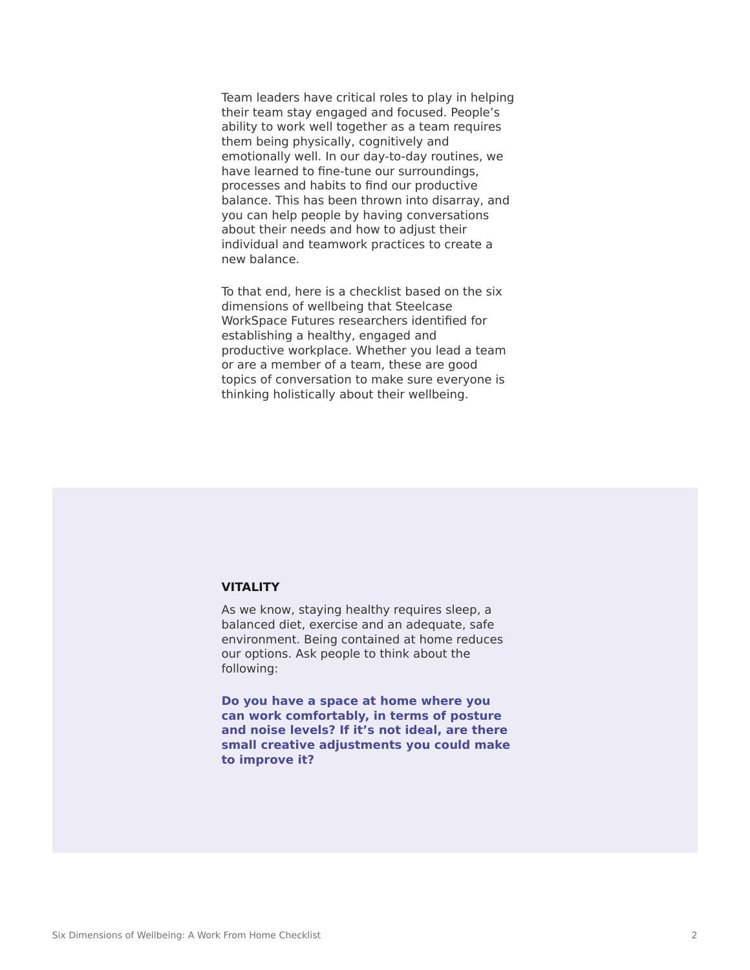Team leaders have critical roles to play in helping their team stay engaged and focused. People's ability to work well together as a team requires them being physically, cognitively and emotionally well. In our day-to-day routines, we have learned to fine-tune our surroundings, processes and habits to find our productive balance. This has been thrown into disarray, and you can help people by having conversations about their needs and how to adjust their individual and teamwork practices to create a new balance.

To that end, here is a checklist based on the six dimensions of wellbeing that Steelcase WorkSpace Futures researchers identified for establishing a healthy, engaged and productive workplace. Whether you lead a team or are a member of a team, these are good topics of conversation to make sure everyone is thinking holistically about their wellbeing.

#### **VITALITY**

As we know, staying healthy requires sleep, a balanced diet, exercise and an adequate, safe environment. Being contained at home reduces our options. Ask people to think about the following:

**Do you have a space at home where you can work comfortably, in terms of posture and noise levels? If it's not ideal, are there small creative adjustments you could make to improve it?**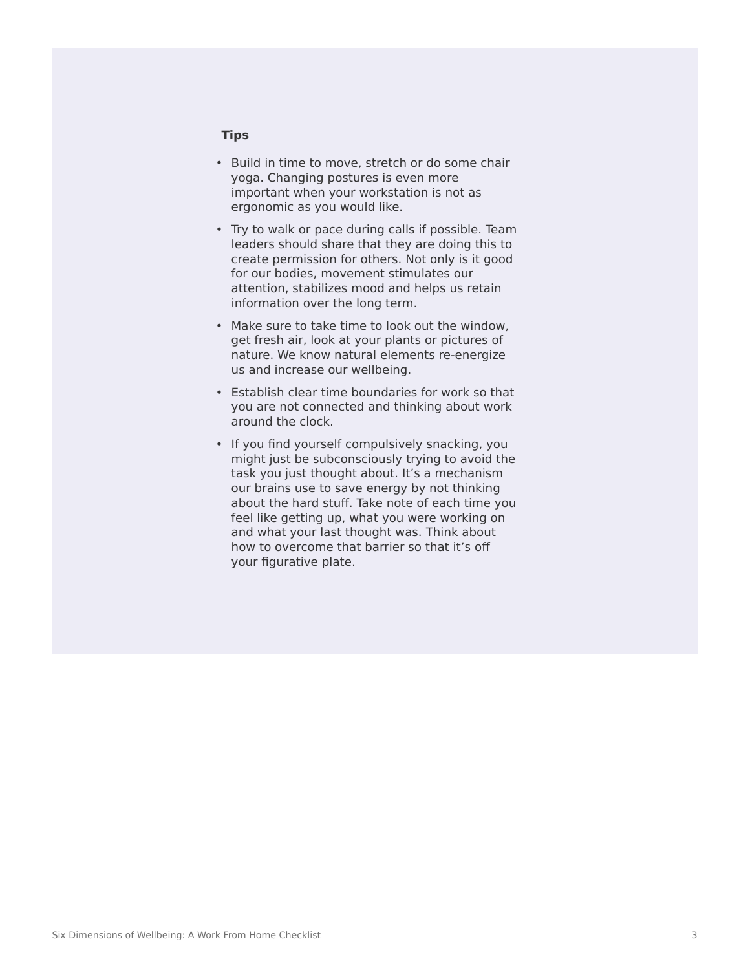#### **Tips**

- Build in time to move, stretch or do some chair yoga. Changing postures is even more important when your workstation is not as ergonomic as you would like.
- Try to walk or pace during calls if possible. Team leaders should share that they are doing this to create permission for others. Not only is it good for our bodies, movement stimulates our attention, stabilizes mood and helps us retain information over the long term.
- Make sure to take time to look out the window, get fresh air, look at your plants or pictures of nature. We know natural elements re-energize us and increase our wellbeing.
- Establish clear time boundaries for work so that you are not connected and thinking about work around the clock.
- If you find yourself compulsively snacking, you might just be subconsciously trying to avoid the task you just thought about. It's a mechanism our brains use to save energy by not thinking about the hard stuff. Take note of each time you feel like getting up, what you were working on and what your last thought was. Think about how to overcome that barrier so that it's off your figurative plate.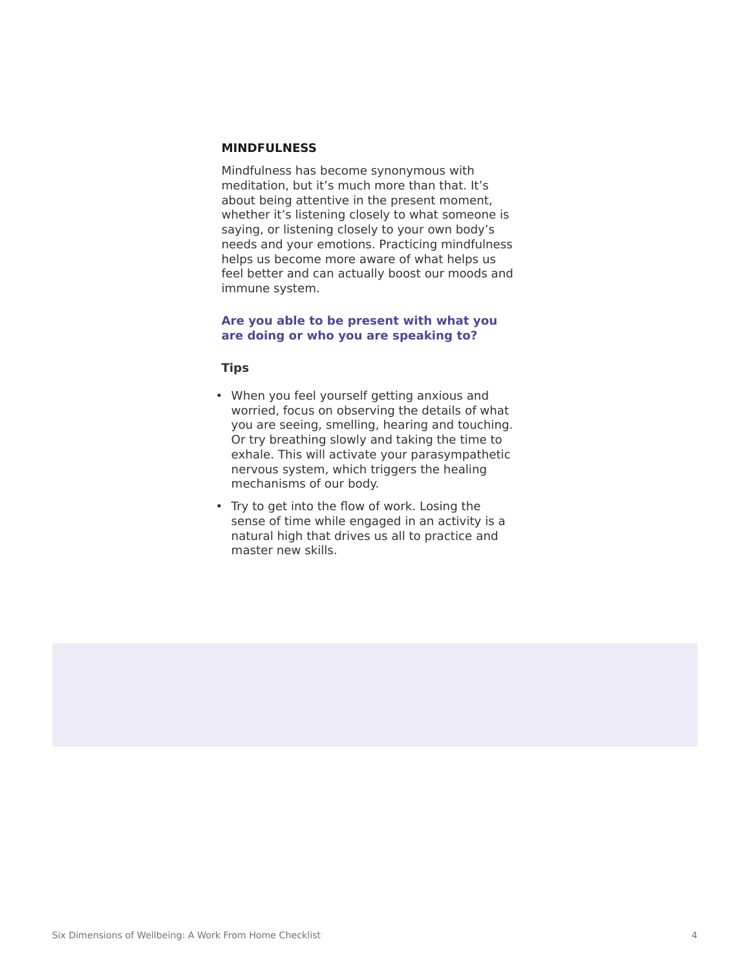# **MINDFULNESS**

Mindfulness has become synonymous with meditation, but it's much more than that. It's about being attentive in the present moment, whether it's listening closely to what someone is saying, or listening closely to your own body's needs and your emotions. Practicing mindfulness helps us become more aware of what helps us feel better and can actually boost our moods and immune system.

#### **Are you able to be present with what you are doing or who you are speaking to?**

**Tips**

- When you feel yourself getting anxious and worried, focus on observing the details of what you are seeing, smelling, hearing and touching. Or try breathing slowly and taking the time to exhale. This will activate your parasympathetic nervous system, which triggers the healing mechanisms of our body.
- Try to get into the flow of work. Losing the sense of time while engaged in an activity is a natural high that drives us all to practice and master new skills.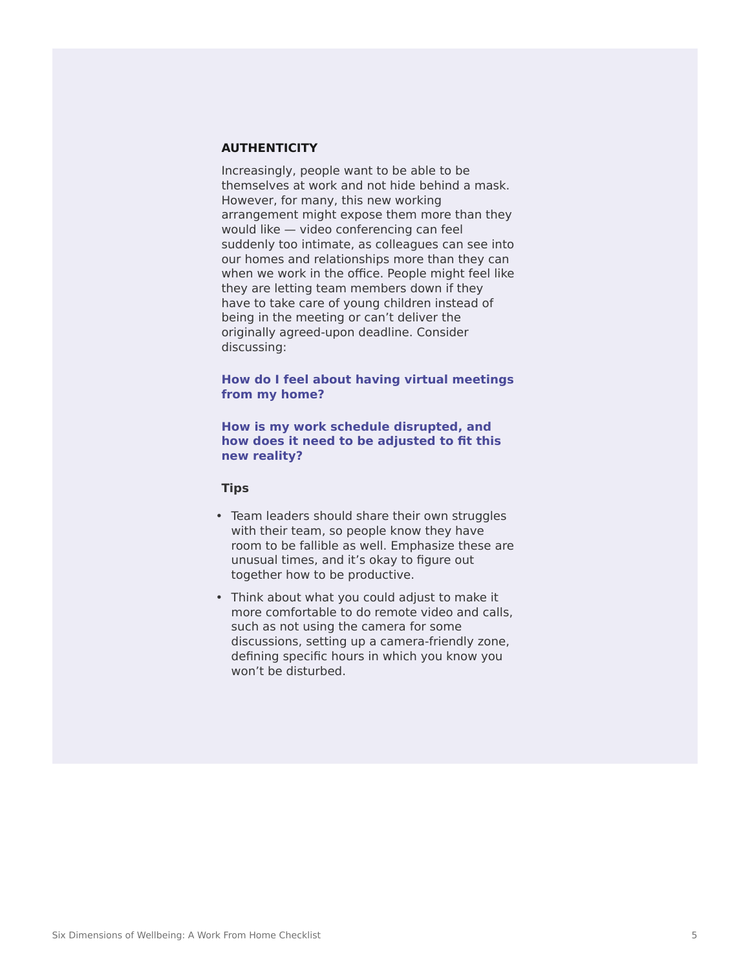# **AUTHENTICITY**

Increasingly, people want to be able to be themselves at work and not hide behind a mask. However, for many, this new working arrangement might expose them more than they would like — video conferencing can feel suddenly too intimate, as colleagues can see into our homes and relationships more than they can when we work in the office. People might feel like they are letting team members down if they have to take care of young children instead of being in the meeting or can't deliver the originally agreed-upon deadline. Consider discussing:

## **How do I feel about having virtual meetings from my home?**

## **How is my work schedule disrupted, and how does it need to be adjusted to fit this new reality?**

#### **Tips**

- Team leaders should share their own struggles with their team, so people know they have room to be fallible as well. Emphasize these are unusual times, and it's okay to figure out together how to be productive.
- Think about what you could adjust to make it more comfortable to do remote video and calls, such as not using the camera for some discussions, setting up a camera-friendly zone, defining specific hours in which you know you won't be disturbed.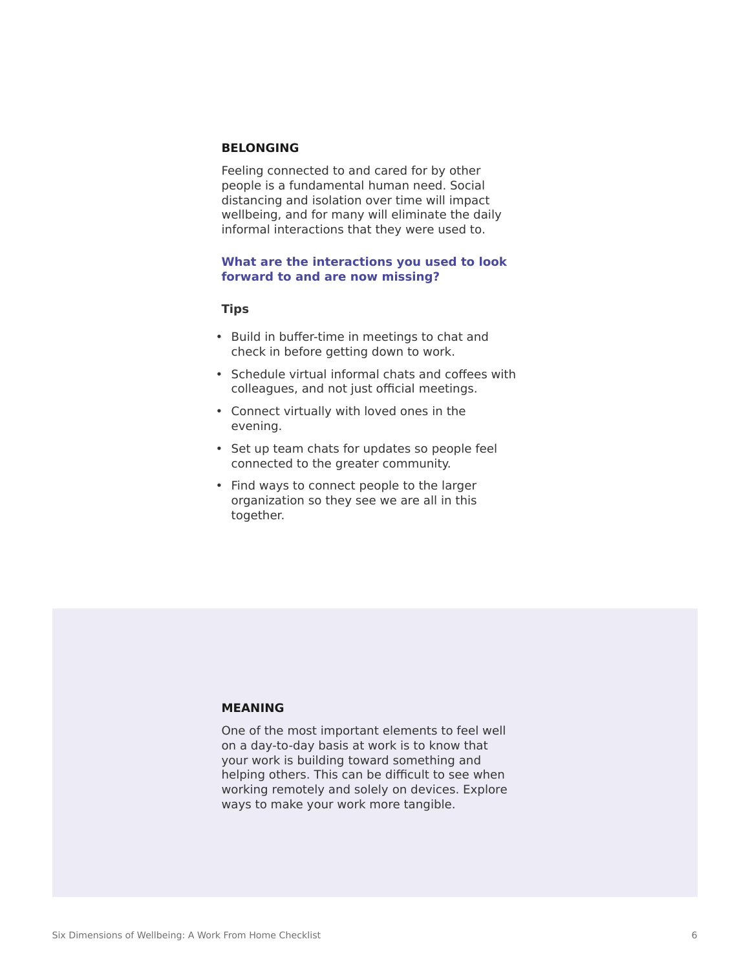# **BELONGING**

Feeling connected to and cared for by other people is a fundamental human need. Social distancing and isolation over time will impact wellbeing, and for many will eliminate the daily informal interactions that they were used to.

#### **What are the interactions you used to look forward to and are now missing?**

#### **Tips**

- Build in buffer-time in meetings to chat and check in before getting down to work.
- Schedule virtual informal chats and coffees with colleagues, and not just official meetings.
- Connect virtually with loved ones in the evening.
- Set up team chats for updates so people feel connected to the greater community.
- Find ways to connect people to the larger organization so they see we are all in this together.

# **MEANING**

One of the most important elements to feel well on a day-to-day basis at work is to know that your work is building toward something and helping others. This can be difficult to see when working remotely and solely on devices. Explore ways to make your work more tangible.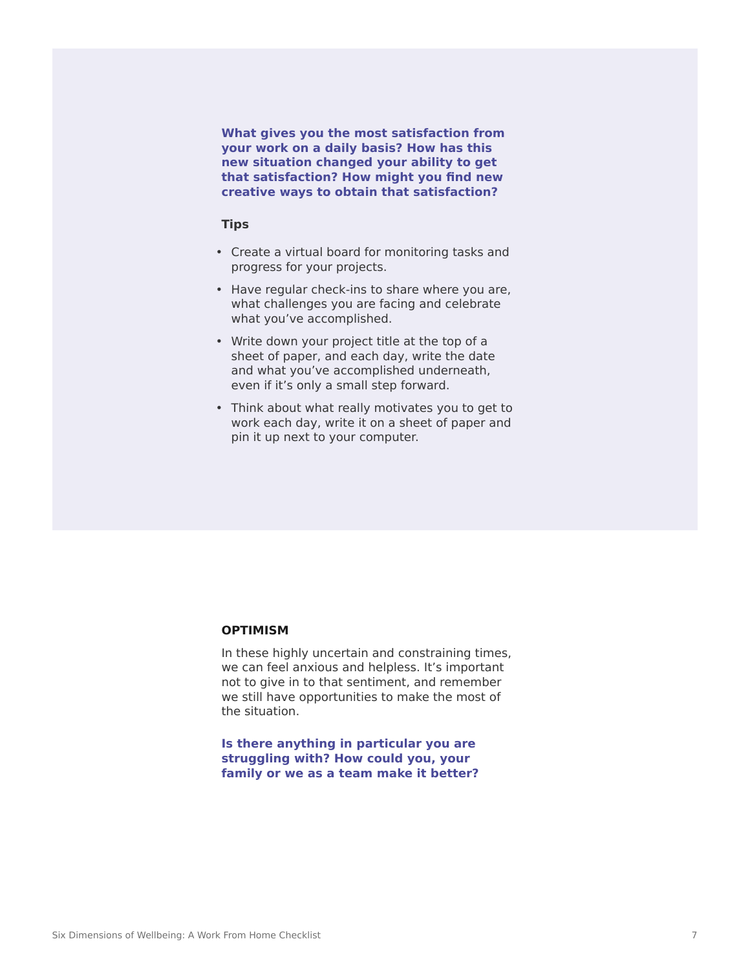**What gives you the most satisfaction from your work on a daily basis? How has this new situation changed your ability to get that satisfaction? How might you find new creative ways to obtain that satisfaction?**

#### **Tips**

- Create a virtual board for monitoring tasks and progress for your projects.
- Have regular check-ins to share where you are, what challenges you are facing and celebrate what you've accomplished.
- Write down your project title at the top of a sheet of paper, and each day, write the date and what you've accomplished underneath, even if it's only a small step forward.
- Think about what really motivates you to get to work each day, write it on a sheet of paper and pin it up next to your computer.

#### **OPTIMISM**

In these highly uncertain and constraining times, we can feel anxious and helpless. It's important not to give in to that sentiment, and remember we still have opportunities to make the most of the situation.

**Is there anything in particular you are struggling with? How could you, your family or we as a team make it better?**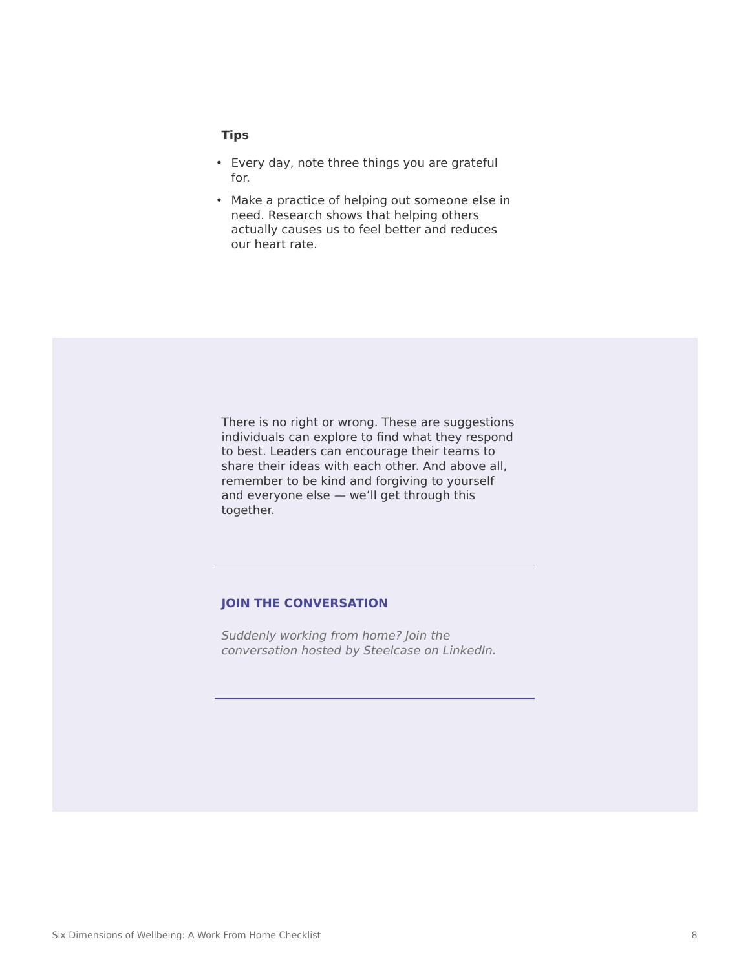## **Tips**

- Every day, note three things you are grateful for.
- Make a practice of helping out someone else in need. Research shows that helping others actually causes us to feel better and reduces our heart rate.



# **[JOIN THE CONVERSATION](https://www.linkedin.com/groups/12376845/)**

*[Suddenly working from home? Join the](https://www.linkedin.com/groups/12376845/) [conversation hosted by Steelcase on LinkedIn.](https://www.linkedin.com/groups/12376845/)*